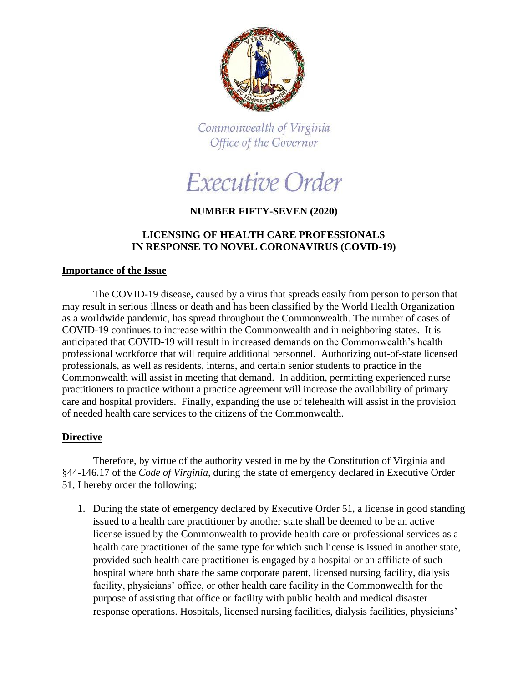

Commonwealth of Virginia Office of the Governor



# **NUMBER FIFTY-SEVEN (2020)**

## **LICENSING OF HEALTH CARE PROFESSIONALS IN RESPONSE TO NOVEL CORONAVIRUS (COVID-19)**

### **Importance of the Issue**

The COVID-19 disease, caused by a virus that spreads easily from person to person that may result in serious illness or death and has been classified by the World Health Organization as a worldwide pandemic, has spread throughout the Commonwealth. The number of cases of COVID-19 continues to increase within the Commonwealth and in neighboring states. It is anticipated that COVID-19 will result in increased demands on the Commonwealth's health professional workforce that will require additional personnel. Authorizing out-of-state licensed professionals, as well as residents, interns, and certain senior students to practice in the Commonwealth will assist in meeting that demand. In addition, permitting experienced nurse practitioners to practice without a practice agreement will increase the availability of primary care and hospital providers. Finally, expanding the use of telehealth will assist in the provision of needed health care services to the citizens of the Commonwealth.

## **Directive**

Therefore, by virtue of the authority vested in me by the Constitution of Virginia and §44-146.17 of the *Code of Virginia*, during the state of emergency declared in Executive Order 51, I hereby order the following:

1. During the state of emergency declared by Executive Order 51, a license in good standing issued to a health care practitioner by another state shall be deemed to be an active license issued by the Commonwealth to provide health care or professional services as a health care practitioner of the same type for which such license is issued in another state, provided such health care practitioner is engaged by a hospital or an affiliate of such hospital where both share the same corporate parent, licensed nursing facility, dialysis facility, physicians' office, or other health care facility in the Commonwealth for the purpose of assisting that office or facility with public health and medical disaster response operations. Hospitals, licensed nursing facilities, dialysis facilities, physicians'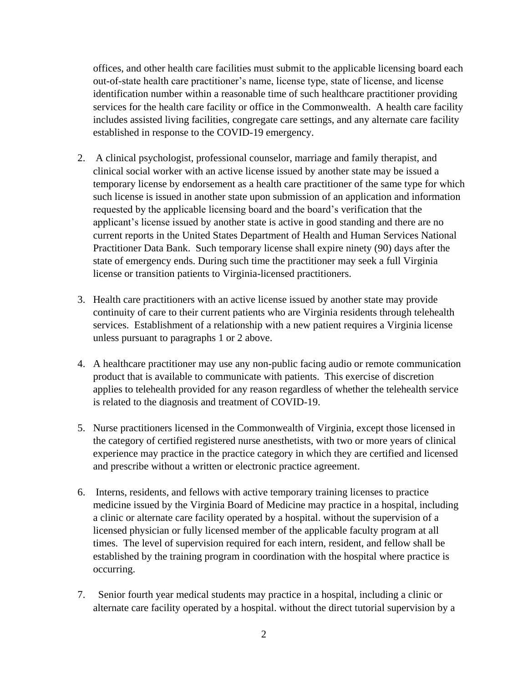offices, and other health care facilities must submit to the applicable licensing board each out-of-state health care practitioner's name, license type, state of license, and license identification number within a reasonable time of such healthcare practitioner providing services for the health care facility or office in the Commonwealth. A health care facility includes assisted living facilities, congregate care settings, and any alternate care facility established in response to the COVID-19 emergency.

- 2. A clinical psychologist, professional counselor, marriage and family therapist, and clinical social worker with an active license issued by another state may be issued a temporary license by endorsement as a health care practitioner of the same type for which such license is issued in another state upon submission of an application and information requested by the applicable licensing board and the board's verification that the applicant's license issued by another state is active in good standing and there are no current reports in the United States Department of Health and Human Services National Practitioner Data Bank. Such temporary license shall expire ninety (90) days after the state of emergency ends. During such time the practitioner may seek a full Virginia license or transition patients to Virginia-licensed practitioners.
- 3. Health care practitioners with an active license issued by another state may provide continuity of care to their current patients who are Virginia residents through telehealth services. Establishment of a relationship with a new patient requires a Virginia license unless pursuant to paragraphs 1 or 2 above.
- 4. A healthcare practitioner may use any non-public facing audio or remote communication product that is available to communicate with patients. This exercise of discretion applies to telehealth provided for any reason regardless of whether the telehealth service is related to the diagnosis and treatment of COVID-19.
- 5. Nurse practitioners licensed in the Commonwealth of Virginia, except those licensed in the category of certified registered nurse anesthetists, with two or more years of clinical experience may practice in the practice category in which they are certified and licensed and prescribe without a written or electronic practice agreement.
- 6. Interns, residents, and fellows with active temporary training licenses to practice medicine issued by the Virginia Board of Medicine may practice in a hospital, including a clinic or alternate care facility operated by a hospital. without the supervision of a licensed physician or fully licensed member of the applicable faculty program at all times. The level of supervision required for each intern, resident, and fellow shall be established by the training program in coordination with the hospital where practice is occurring.
- 7. Senior fourth year medical students may practice in a hospital, including a clinic or alternate care facility operated by a hospital. without the direct tutorial supervision by a